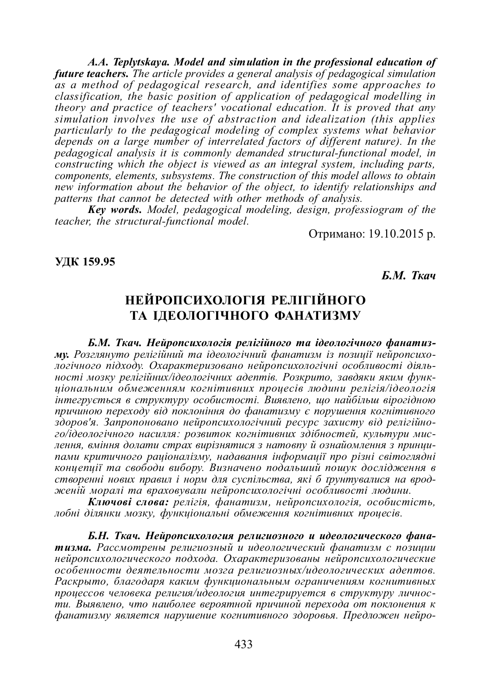*A.A. Teplytskaya. Model and simulation in the professional education of future teachers. The article provides a general analysis of pedagogical simulation as a method of pedagogical research, and identifies some approaches to classification, the basic position of application of pedagogical modelling in theory and practice of teachers' vocational education. It is proved that any simulation involves the use of abstraction and idealization (this applies particularly to the pedagogical modeling of complex systems what behavior depends on a large number of interrelated factors of different nature). In the pedagogical analysis it is commonly demanded structural-functional model, in constructing which the object is viewed as an integral system, including parts, components, elements, subsystems. The construction of this model allows to obtain new information about the behavior of the object, to identify relationships and patterns that cannot be detected with other methods of analysis.*

*Key words. Model, pedagogical modeling, design, professiogram of the teacher, the structural-functional model.*

Отримано: 19.10.2015 р.

#### **ɍȾɄ 159.95**

*<i>.*  $M$ *. Tκα* 

# НЕЙРОПСИХОЛОГІЯ РЕЛІГІЙНОГО ТА ІДЕОЛОГІЧНОГО ФАНАТИЗМУ

Б.М. Ткач. Нейропсихологія релігійного та ідеологічного фанатизму. Розглянуто релігійний та ідеологічний фанатизм із позиції нейропсихологічного підходу. Охарактеризовано нейропсихологічні особливості діяль $hocmi$  мозку релігійних/ідеологічних адептів. Розкрито, завдяки яким функиіональним обмеженням когнітивних проиесів людини релігія/ідеологія  $i_{\text{H}}$ тегрується в структуру особистості. Виявлено, що найбільш вірогідною причиною переходу від поклоніння до фанатизму є порушення когнітивного здоров'я. Запропоновано нейропсихологічний ресурс захисту від релігійно $zo/i\partial eo\overline{u}ozi$ чного насилля: розвиток когнітивних здібностей, культури мислення, вміння долати страх вирізнятися з натовпу й ознайомлення з принципами критичного раціоналізму, надавання інформації про різні світоглядні концепції та свободи вибору. Визначено подальший пошук дослідження в створенні нових правил і норм для суспільства, які б трунтувалися на вродженій моралі та враховували нейропсихологічні особливості людини.

Kлючові слова: релігія, фанатизм, нейропсихологія, особистість, лобні ділянки мозку, функціональні обмеження когнітивних процесів.

Б.Н. Ткач. Нейропсихология религиозного и идеологического фанатизма. Рассмотрены религиозный и идеологический фанатизм с позиции  $He\ddot{\iota}$ ропсихологического подхода. Охарактеризованы нейропсихологические  $\alpha$ собенности деятельности мозга религиозных/идеологических адептов. Раскрыто, благодаря каким функциональным ограничениям когнитивных проиессов человека религия/идеология интегрируется в структуру личности. Выявлено, что наиболее вероятной причиной перехода от поклонения к  $\phi$ анатизму является нарушение когнитивного здоровья. Предложен нейро-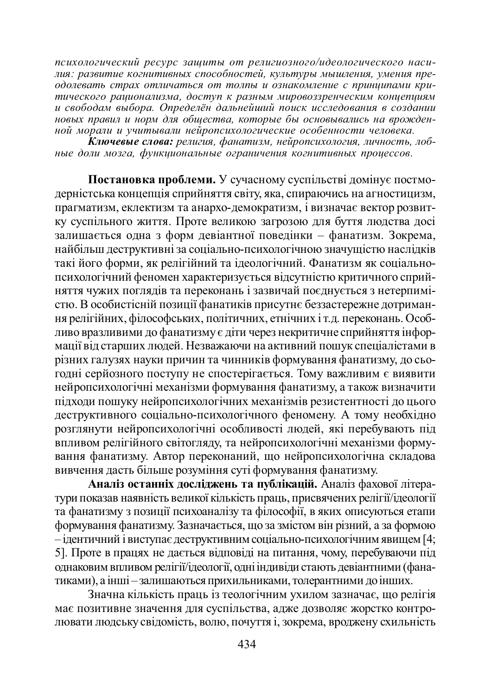психологический ресурс зашиты от религиозного/идеологического насидия: развитие когнитивных способностей, культуры мышления, умения пре-*<del><i>ы*ат развитие из интентитет системативной, извитуре теплиционали пре-</del> **тического рационализма, доступ к разным мировоззренческим концепциям** <del>ии сенеев ридинишний, веспул и ристии инрессерен сении индекционал</del> новых правил и норм для обшества, которые бы основывались на врожден**ной морали и учитывали нейропсихологические особенности человека.** 

 $k$ лючевые слова: религия, фанатизм, нейропсихология, личность, лобные доли мозга, функциональные ограничения когнитивных процессов.

Постановка проблеми. У сучасному суспільстві домінує постмодерністська концепція сприйняття світу, яка, спираючись на агностицизм, ъл<br>прагматизм, еклектизм та анархо-демократизм, i визначає вектор розвитку суспільного життя. Проте великою загрозою для буття людства досі залишається одна з форм девіантної поведінки – фанатизм. Зокрема, найбільш деструктивні за соціально-психологічною значущістю наслідків такі його форми, як релігійний та ідеологічний. Фанатизм як соціальнопсихологічний феномен характеризується відсутністю критичного сприйняття чужих поглядів та переконань і зазвичай поєднується з нетерпимістю. В особистісній позиції фанатиків присутнє беззастережне дотримання релігійних, філософських, політичних, етнічних і т.д. переконань. Особливо вразливими до фанатизму є діти через некритичне сприйняття інформації від старших людей. Незважаючи на активний пошук спеціалістами в різних галузях науки причин та чинників формування фанатизму, до сьотодні серйозного поступу не спостерігається. Тому важливим є виявити нейропсихологічні механізми формування фанатизму, а також визначити підходи пошуку нейропсихологічних механізмів резистентності до цього деструктивного соціально-психологічного феномену. А тому необхідно розглянути нейропсихологічні особливості людей, які перебувають під •<br>впливом релігійного світогляду, та нейропсихологічні механізми формування фанатизму. Автор переконаний, що нейропсихологічна складова анные тентаров.<br>вивчення дасть більше розуміння суті формування фанатизму.

Аналіз останніх досліджень та публікацій. Аналіз фахової літератури показав наявність великої кількість праць, присвячених релігії/ідеології уъти фанатизму з позиції психоаналізу та філософії, в яких описуються етапи формування фанатизму. Зазначається, що за змістом він різний, а за формою  $-$ ідентичний і виступає деструктивним соціально-психологічним явищем [4; 5]. Проте в працях не дається відповіді на питання, чому, перебуваючи під однаковим впливом релігії/ідеології, одні індивіди стають девіантними (фанатиками), а інші – залишаються прихильниками, толерантними до інших.

Значна кількість праць із теологічним ухилом зазначає, що релігія має позитивне значення для суспільства, адже дозволяє жорстко контролювати людську свідомість, волю, почуття і, зокрема, вроджену схильність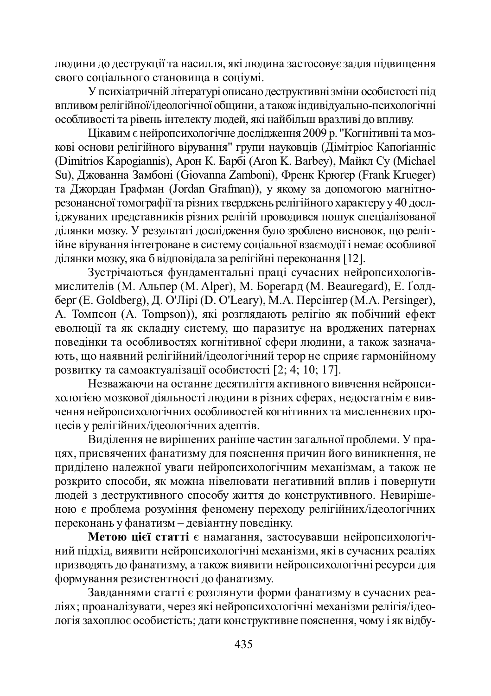людини до деструкції та насилля, які людина застосовує задля підвищення свого соціального становища в соціумі.

У психіатричній літературі описано деструктивні зміни особистості під впливом релігійної/ідеологічної общини, а також індивідуально-психологічні особливості та рівень інтелекту людей, які найбільш вразливі до впливу.

Цікавим є нейропсихологічне дослідження 2009 р. "Когнітивні та мозкові основи релігійного вірування" групи науковців (Дімітріос Капоґіанніс (Dimitrios Kapogiannis), Арон К. Барбі (Aron K. Barbey), Майкл Су (Michael Su), Джованна Замбоні (Giovanna Zamboni), Френк Крюгер (Frank Krueger) та Джордан Графман (Jordan Grafman)), у якому за допомогою магнітнорезонансної томографії та різних тверджень релігійного характеру у 40 дослɿɞɠɭɜɚɧɢɯɩɪɟɞɫɬɚɜɧɢɤɿɜɪɿɡɧɢɯɪɟɥɿɝɿɣɩɪɨɜɨɞɢɜɫɹɩɨɲɭɤɫɩɟɰɿɚɥɿɡɨɜɚɧɨʀ ділянки мозку. У результаті дослідження було зроблено висновок, що релігійне вірування інтегроване в систему соціальної взаємодії і немає особливої ділянки мозку, яка б відповідала за релігійні переконання [12].

Зустрічаються фундаментальні праці сучасних нейропсихологівмислителів (М. Альпер (М. Alper), М. Борегард (М. Beauregard), Е. Ґолдберг (E. Goldberg), Д. О'Лірі (D. O'Leary), М.А. Персінгер (М.А. Persinger), А. Томпсон (A. Tompson)), які розглядають релігію як побічний ефект еволюції та як складну систему, що паразитує на вроджених патернах поведінки та особливостях когнітивної сфери людини, а також зазначають, що наявний релігійний/ідеологічний терор не сприяє гармонійному розвитку та самоактуалізації особистості  $[2, 4, 10, 17]$ .

Незважаючи на останнє десятиліття активного вивчення нейропсихологією мозкової діяльності людини в різних сферах, недостатнім є вивчення нейропсихологічних особливостей когнітивних та мисленнєвих процесів у релігійних/ідеологічних адептів.

Ъиділення не вирішених раніше частин загальної проблеми. У працях, присвячених фанатизму для пояснення причин його виникнення, не приділено належної уваги нейропсихологічним механізмам, а також не розкрито способи, як можна нівелювати негативний вплив і повернути июдей з деструктивного способу життя до конструктивного. Невирішеною є проблема розуміння феномену переходу релігійних/ідеологічних переконань у фанатизм – девіантну поведінку.

**Метою цієї статті** є намагання, застосувавши нейропсихологічний підхід, виявити нейропсихологічні механізми, які в сучасних реаліях призводять до фанатизму, а також виявити нейропсихологічні ресурси для формування резистентності до фанатизму.

Завданнями статті є розглянути форми фанатизму в сучасних реаліях; проаналізувати, через які нейропсихологічні механізми релігія/ідеологія захоплює особистість; дати конструктивне пояснення, чому і як відбу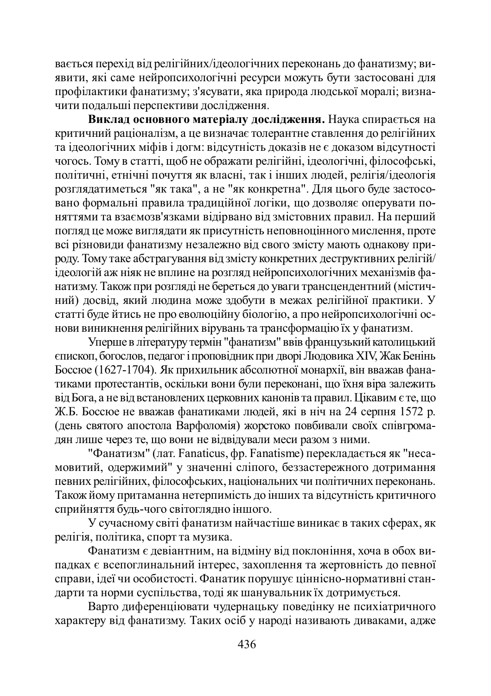вається перехід від релігійних/ідеологічних переконань до фанатизму; виявити, які саме нейропсихологічні ресурси можуть бути застосовані для профілактики фанатизму; з'ясувати, яка природа людської моралі; визначити подальші перспективи дослідження.

Виклад основного матеріалу дослідження. Наука спирається на критичний раціоналізм, а це визначає толерантне ставлення до релігійних та ідеологічних міфів і догм: відсутність доказів не є доказом відсутності чогось. Тому в статті, шоб не ображати релігійні, ілеологічні, філософські, політичні, етнічні почуття як власні, так і інших людей, релігія/ідеологія розглядатиметься "як така", а не "як конкретна". Для цього буде застосо-•<br>вано формальні правила традиційної логіки, що дозволяє оперувати поняттями та взаємозв'язками відірвано від змістовних правил. На перший погляд це може виглядати як присутність неповноцінного мислення, проте всі різновиди фанатизму незалежно від свого змісту мають однакову природу. Тому таке абстрагування від змісту конкретних деструктивних релігій/  $\overline{i}$ деологій аж ніяк не вплине на розгляд нейропсихологічних механізмів фанатизму. Також при розгляді не береться до уваги трансцендентний (містичний) досвід, який людина може здобути в межах релігійної практики. У cтатті буде йтись не про еволюційну біологію, а про нейропсихологічні основи виникнення релігійних вірувань та трансформацію їх у фанатизм.

Уперше в літературу термін "фанатизм" ввів французький католицький єпископ, богослов, педагог і проповідник при дворі Людовика XIV, Жак Бенінь Боссюе (1627-1704). Як прихильник абсолютної монархії, він вважав фанатиками протестантів, оскільки вони були переконані, що їхня віра залежить від Бога, а не від встановлених церковних канонів та правил. Цікавим є те, що Ж.Б. Боссюе не вважав фанатиками людей, які в ніч на 24 серпня 1572 р. (день святого апостола Варфоломія) жорстоко повбивали своїх співгромадян лише через те, що вони не відвідували меси разом з ними.

"Фанатизм" (лат. Fanaticus, фр. Fanatisme) перекладається як "несамовитий, одержимий" у значенні сліпого, беззастережного дотримання певних релігійних, філософських, національних чи політичних переконань. Також йому притаманна нетерпимість до інших та відсутність критичного сприйняття будь-чого світоглядно іншого.

У сучасному світі фанатизм найчастіше виникає в таких сферах, як релігія, політика, спорт та музика.

Фанатизм є девіантним, на відміну від поклоніння, хоча в обох випадках є всепоглинальний інтерес, захоплення та жертовність до певної справи, ідеї чи особистості. Фанатик порушує ціннісно-нормативні стандарти та норми суспільства, тоді як шанувальник їх дотримується.

Варто диференціювати чудернацьку поведінку не психіатричного характеру від фанатизму. Таких осіб у народі називають диваками, адже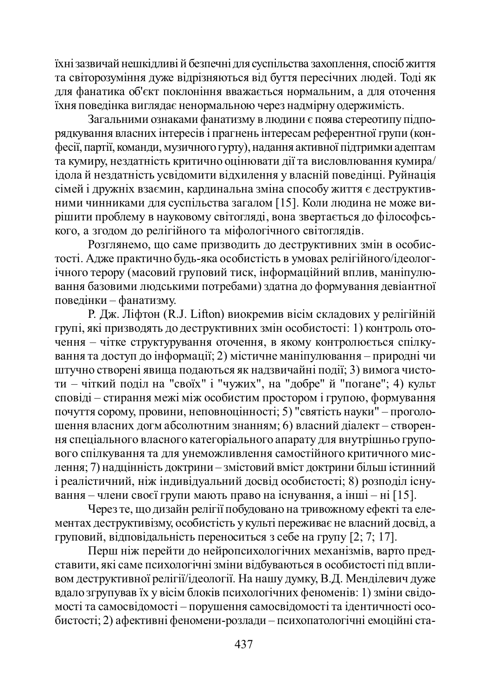їхні зазвичай нешкідливі й безпечні для суспільства захоплення, спосіб життя та світорозуміння дуже відрізняються від буття пересічних людей. Тоді як для фанатика об'єкт поклоніння вважається нормальним, а для оточення йхня поведінка виглядає ненормальною через надмірну одержимість.

Загальними ознаками фанатизму в людини є поява стереотипу підпорядкування власних інтересів і прагнень інтересам референтної групи (конфесії, партії, команди, музичного гурту), надання активної підтримки адептам та кумиру, нездатність критично оцінювати дії та висловлювання кумира/ ідола й нездатність усвідомити відхилення у власній поведінці. Руйнація сімей і дружніх взаємин, кардинальна зміна способу життя є деструктивними чинниками для суспільства загалом [15]. Коли людина не може вирішити проблему в науковому світогляді, вона звертається до філософського, а згодом до релігійного та міфологічного світоглядів.

Розглянемо, що саме призводить до деструктивних змін в особистості. Адже практично будь-яка особистість в умовах релігійного/ідеологічного терору (масовий груповий тиск, інформаційний вплив, маніпулювання базовими людськими потребами) здатна до формування девіантної поведінки – фанатизму.

Р. Дж. Ліфтон (R.J. Lifton) виокремив вісім складових у релігійній групі, які призводять до деструктивних змін особистості: 1) контроль оточення – чітке структурування оточення, в якому контролюється спілкування та доступ до інформації; 2) містичне маніпулювання – природні чи штучно створені явища подаються як надзвичайні події; 3) вимога чистоти – чіткий поділ на "своїх" і "чужих", на "добре" й "погане"; 4) культ сповіді – стирання межі між особистим простором і групою, формування почуття сорому, провини, неповноцінності; 5) "святість науки" – проголошення власних догм абсолютним знанням; 6) власний діалект – створення спеціального власного категоріального апарату для внутрішньо групового спілкування та для унеможливлення самостійного критичного мислення; 7) надцінність доктрини – змістовий вміст доктрини більш істинний і реалістичний, ніж індивідуальний досвід особистості; 8) розподіл існуɜɚɧɧɹ – ɱɥɟɧɢɫɜɨɽʀɝɪɭɩɢɦɚɸɬɶɩɪɚɜɨɧɚɿɫɧɭɜɚɧɧɹ, ɚɿɧɲɿ – ɧɿ [15].

Через те, що дизайн релігії побудовано на тривожному ефекті та елементах деструктивізму, особистість у культі переживає не власний досвід, а груповий, відповідальність переноситься з себе на групу [2; 7; 17].

Перш ніж перейти до нейропсихологічних механізмів, варто представити, які саме психологічні зміни відбуваються в особистості під впливом деструктивної релігії/ідеології. На нашу думку, В.Д. Менділевич дуже вдало згрупував їх у вісім блоків психологічних феноменів: 1) зміни свідомості та самосвідомості – порушення самосвідомості та ідентичності особистості; 2) афективні феномени-розлади – психопатологічні емоційні ста-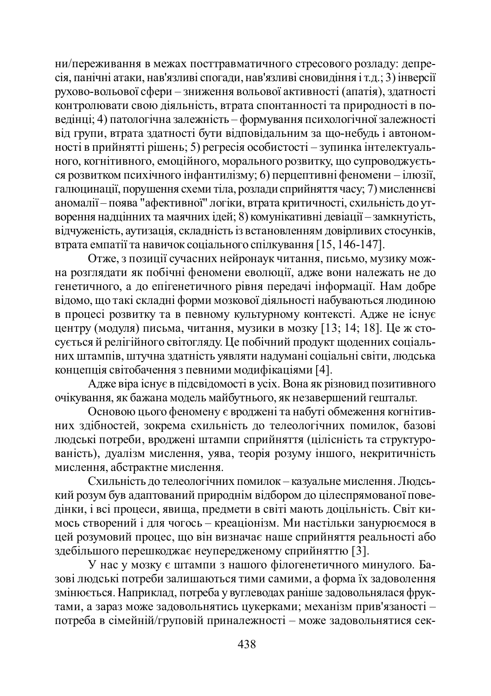ни/переживання в межах посттравматичного стресового розладу: депресія, панічні атаки, нав'язливі спогади, нав'язливі сновидіння і т.д.; 3) інверсії рухово-вольової сфери – зниження вольової активності (апатія), здатності ы<br>контролювати свою діяльність, втрата спонтанності та природності в поведінці; 4) патологічна залежність – формування психологічної залежності від групи, втрата здатності бути відповідальним за що-небудь і автономності в прийнятті рішень; 5) регресія особистості – зупинка інтелектуального, когнітивного, емоційного, морального розвитку, що супроводжується розвитком психічного інфантилізму; 6) перцептивні феномени – ілюзії, <del>Талюцинації, порушення схеми тіла, розлади сприйняття часу; 7) мисленнєві</del> аномалії – поява "афективної" логіки, втрата критичності, схильність до утворення надцінних та маячних ідей; 8) комунікативні девіації – замкнутість, ъідчуженість, аутизація, складність із встановленням довірливих стосунків, втрата емпатії та навичок соціального спілкування [15, 146-147].

Отже, з позиції сучасних нейронаук читання, письмо, музику можна розглядати як побічні феномени еволюції, адже вони належать не до rенетичного, а до епігенетичного рівня передачі інформації. Нам добре відомо, що такі складні форми мозкової діяльності набуваються людиною в процесі розвитку та в певному культурному контексті. Адже не існує центру (модуля) письма, читання, музики в мозку [13; 14; 18]. Це ж стосується й релігійного світогляду. Це побічний продукт щоденних соціальних штампів, штучна здатність уявляти надумані соціальні світи, людська концепція світобачення з певними модифікаціями [4].

Адже віра існує в підсвідомості в усіх. Вона як різновид позитивного очікування, як бажана модель майбутнього, як незавершений гештальт.

Основою цього феномену є вроджені та набуті обмеження когнітивних здібностей, зокрема схильність до телеологічних помилок, базові людські потреби, вроджені штампи сприйняття (цілісність та структурованість), дуалізм мислення, уява, теорія розуму іншого, некритичність мислення, абстрактне мислення.

Схильність до телеологічних помилок – казуальне мислення. Людський розум був адаптований природнім відбором до цілеспрямованої поведінки, і всі процеси, явища, предмети в світі мають доцільність. Світ кииось створений і для чогось – креаціонізм. Ми настільки занурюємося в цей розумовий процес, що він визначає наше сприйняття реальності або здебільшого перешкоджає неупередженому сприйняттю [3].

У нас у мозку є штампи з нашого філогенетичного минулого. Базові людські потреби залишаються тими самими, а форма їх задоволення змінюється. Наприклад, потреба у вуглеводах раніше задовольнялася фруктами, а зараз може задовольнятись цукерками; механізм прив'язаності потреба в сімейній/груповій приналежності – може задовольнятися сек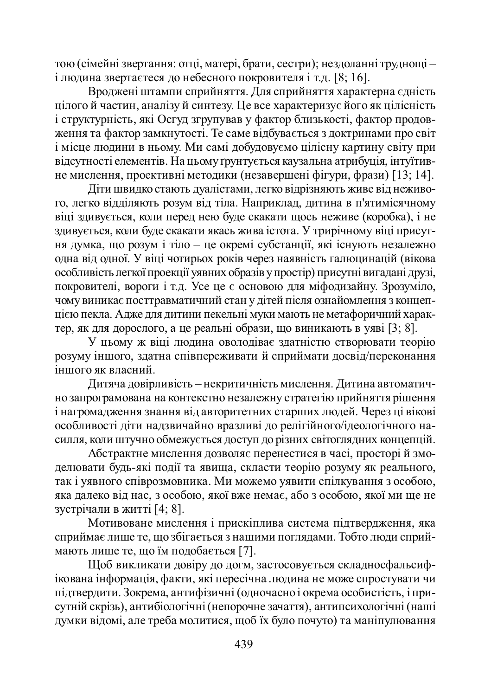тою (сімейні звертання: отці, матері, брати, сестри); нездоланні труднощі –  $i$  людина звертаєтеся до небесного покровителя  $i$ т.д. [8; 16].

Вроджені штампи сприйняття. Для сприйняття характерна єдність цілого й частин, аналізу й синтезу. Це все характеризує його як цілісність і структурність, які Осгуд згрупував у фактор близькості, фактор продовження та фактор замкнутості. Те саме відбувається з доктринами про світ i мiсце людини в ньому. Ми самi добудовуємо цiлiсну картину свiту при вілсутності елементів. На цьому грунтується каузальна атрибуція, інтуїтивне мислення, проективні методики (незавершені фігури, фрази) [13; 14].

Діти швидко стають дуалістами, легко відрізняють живе від неживого, легко відділяють розум від тіла. Наприклад, дитина в п'ятимісячному віці здивується, коли перед нею буде скакати щось неживе (коробка), і не здивується, коли буде скакати якась жива істота. У трирічному віці присутня думка, що розум і тіло – це окремі субстанції, які існують незалежно одна від одної. У віці чотирьох років через наявність галюцинацій (вікова особливість легкої проекції уявних образів у простір) присутні вигадані друзі, покровителі, вороги і т.д. Усе це є основою для міфодизайну. Зрозуміло, чому виникає посттравматичний стан у дітей після ознайомлення з концепијею пекла. Адже для дитини пекельні муки мають не метафоричний характер, як для дорослого, а це реальні образи, що виникають в уяві [3; 8].

У цьому ж віці людина оволодіває здатністю створювати теорію розуму іншого, здатна співпереживати й сприймати досвід/переконання іншого як власний.

Дитяча довірливість – некритичність мислення. Дитина автоматично запрограмована на контекстно незалежну стратегію прийняття рішення і нагромадження знання від авторитетних старших людей. Через ці вікові особливості діти надзвичайно вразливі до релігійного/ідеологічного насилля, коли штучно обмежується доступ до різних світоглядних концепцій.

Абстрактне мислення дозволяє перенестися в часі, просторі й змоделювати будь-які події та явища, скласти теорію розуму як реального, так і уявного співрозмовника. Ми можемо уявити спілкування з особою, яка далеко від нас, з особою, якої вже немає, або з особою, якої ми ще не зустрічали в житті [4; 8].

Мотивоване мислення і прискіплива система підтвердження, яка сприймає лише те, що збігається з нашими поглядами. Тобто люди сприймають лише те, що їм подобається [7].

Щоб викликати довіру до догм, застосовується складносфальсифікована інформація, факти, які пересічна людина не може спростувати чи підтвердити. Зокрема, антифізичні (одночасно і окрема особистість, і присутній скрізь), антибіологічні (непорочне зачаття), антипсихологічні (наші  $\overline{a}$ умки відомі, але треба молитися, щоб їх було почуто) та маніпулювання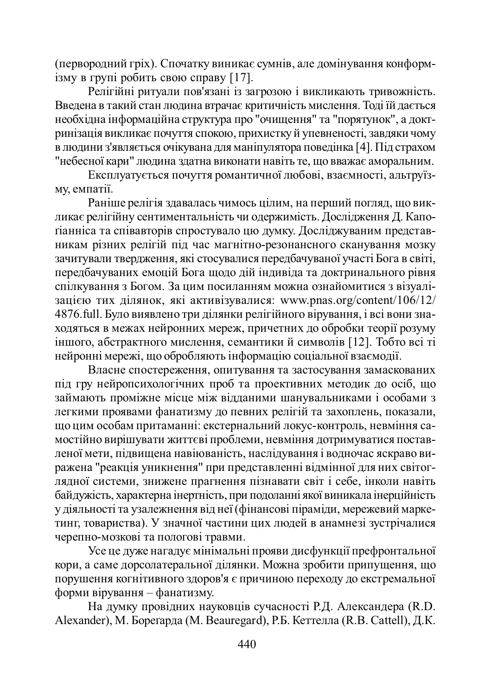первородний гріх). Спочатку виникає сумнів, але домінування конформiзму в групi робить свою справу [17].

Релігійні ритуали пов'язані із загрозою і викликають тривожність. Введена в такий стан людина втрачає критичність мислення. Тоді їй дається необхідна інформаційна структура про "очищення" та "порятунок", а доктринізація викликає почуття спокою, прихистку й упевненості, завдяки чому в людини з'являється очікувана для маніпулятора поведінка [4]. Під страхом "небесної кари" людина здатна виконати навіть те, що вважає аморальним.

Експлуатується почуття романтичної любові, взаємності, альтруїзму, емпатії.

Раніше релігія здавалась чимось цілим, на перший погляд, що викликає релігійну сентиментальність чи одержимість. Дослідження Д. Капотіанніса та співавторів спростувало цю думку. Досліджуваним представникам різних релігій піл час магнітно-резонансного сканування мозку зачитували твердження, які стосувалися передбачуваної участі Бога в світі. передбачуваних емоцій Бога щодо дій індивіда та доктринального рівня спілкування з Богом. За цим посиланням можна ознайомитися з візуалізацією тих ділянок, які активізувалися: www.pnas.org/content/106/12/ 4876.full. Було виявлено три ділянки релігійного вірування, і всі вони знаходяться в межах нейронних мереж, причетних до обробки теорії розуму іншого, абстрактного мислення, семантики й символів [12]. Тобто всі ті нейронні мережі, що обробляють інформацію соціальної взаємодії.

Власне спостереження, опитування та застосування замаскованих під гру нейропсихологічних проб та проективних методик до осіб, що займають проміжне місце між відданими шанувальниками і особами з легкими проявами фанатизму до певних релігій та захоплень, показали, що цим особам притаманні: екстернальний локус-контроль, невміння самостійно вирішувати життєві проблеми, невміння дотримуватися поставленої мети, підвищена навіюваність, наслідування і водночас яскраво виражена "реакція уникнення" при представленні відмінної для них світогтядної системи, знижене прагнення пізнавати світ і себе, інколи навіть байдужість, характерна інертність, при подоланні якої виникала інерційність у діяльності та узалежнення від неї (фінансові піраміди, мережевий марке-•<br>ТИНГ, ТОВАРИСТВА). У значної частини цих людей в анамнезі зустрічалися черепно-мозкові та пологові травми.

Усе це дуже нагадує мінімальні прояви дисфункції префронтальної кори, а саме дорсолатеральної ділянки. Можна зробити припущення, що порушення когнітивного здоров'я є причиною переходу до екстремальної форми вірування – фанатизму.

На думку провідних науковців сучасності Р.Д. Александера (R.D. Alexander), М. Борегарда (М. Beauregard), Р.Б. Кеттелла (R.B. Cattell), Д.К.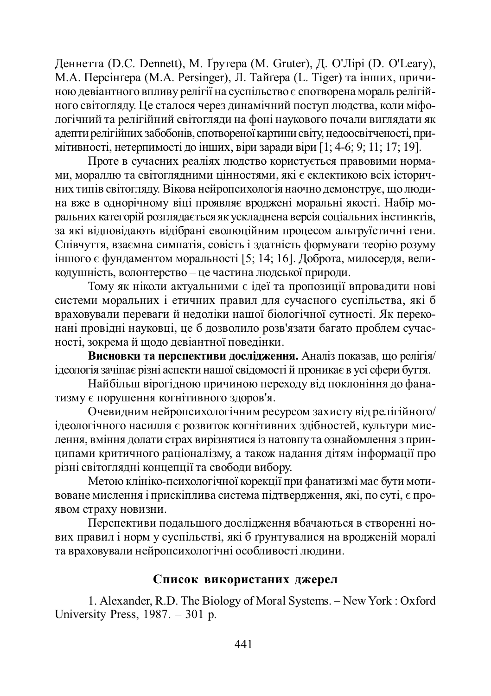Деннетта (D.C. Dennett), М. Ґрутера (M. Gruter), Д. О'Лірі (D. O'Leary), М.А. Персінґера (М.А. Persinger), Л. Тайґера (L. Tiger) та інших, причиною девіантного впливу релігії на суспільство є спотворена мораль релігійного світогляду. Це сталося через динамічний поступ людства, коли міфологічний та релігійний світогляди на фоні наукового почали виглядати як адепти релігійних забобонів, спотвореної картини світу, недоосвітченості, примітивності, нетерпимості до інших, віри заради віри [1; 4-6; 9; 11; 17; 19].

Проте в сучасних реаліях людство користується правовими нормами, мораллю та світоглядними цінностями, які є еклектикою всіх історичних типів світоглялу. Вікова нейропсихологія наочно лемонструє, що люлина вже в однорічному віці проявляє вроджені моральні якості. Набір моральних категорій розглялається як усклалнена версія соціальних інстинктів. •<br>за які вілповілають вілібрані еволюційним процесом альтруїстичні гени. Cпівчуття, взаємна симпатія, совість і златність формувати теорію розуму іншого є фундаментом моральності [5; 14; 16]. Доброта, милосердя, великодушність, волонтерство – це частина людської природи.

Тому як ніколи актуальними є ідеї та пропозиції впровадити нові системи моральних і етичних правил для сучасного суспільства, які б враховували переваги й недоліки нашої біологічної сутності. Як переконані провідні науковці, це б дозволило розв'язати багато проблем сучасності, зокрема й щодо девіантної поведінки.

Висновки та перспективи дослідження. Аналіз показав, що релігія/ ідеологія зачіпає різні аспекти нашої свідомості й проникає в усі сфери буття.

Найбільш вірогідною причиною переходу від поклоніння до фанатизму є порушення когнітивного здоров'я.

Очевидним нейропсихологічним ресурсом захисту від релігійного/ ідеологічного насилля є розвиток когнітивних здібностей, культури мислення, вміння долати страх вирізнятися із натовпу та ознайомлення з принципами критичного раціоналізму, а також надання дітям інформації про різні світоглядні концепції та свободи вибору.

Метою клініко-психологічної корекції при фанатизмі має бути мотивоване мислення і прискіплива система підтвердження, які, по суті, є проявом страху новизни.

Перспективи подальшого дослідження вбачаються в створенні нових правил і норм у суспільстві, які б грунтувалися на вродженій моралі та враховували нейропсихологічні особливості людини.

### Список використаних джерел

1. Alexander, R.D. The Biology of Moral Systems. – New York : Oxford University Press, 1987. – 301 p.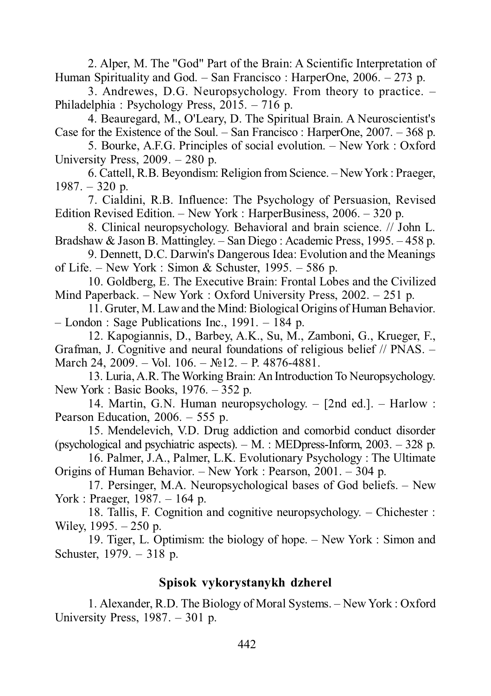2. Alper, M. The "God" Part of the Brain: A Scientific Interpretation of Human Spirituality and God. – San Francisco : HarperOne, 2006. – 273 p.

3. Andrewes, D.G. Neuropsychology. From theory to practice. – Philadelphia : Psychology Press, 2015. – 716 p.

4. Beauregard, M., O'Leary, D. The Spiritual Brain. A Neuroscientist's Case for the Existence of the Soul. – San Francisco : HarperOne, 2007. – 368 p.

5. Bourke, A.F.G. Principles of social evolution. – New York : Oxford University Press, 2009. – 280 p.

6. Cattell, R.B. Beyondism: Religion from Science. – New York : Praeger,  $1987. - 320$  p.

7. Cialdini, R.B. Influence: The Psychology of Persuasion, Revised Edition Revised Edition. – New York : HarperBusiness, 2006. – 320 p.

8. Clinical neuropsychology. Behavioral and brain science. // John L. Bradshaw & Jason B. Mattingley. – San Diego : Academic Press, 1995. – 458 p.

9. Dennett, D.C. Darwin's Dangerous Idea: Evolution and the Meanings of Life. – New York : Simon & Schuster,  $1995. - 586$  p.

10. Goldberg, E. The Executive Brain: Frontal Lobes and the Civilized Mind Paperback. – New York : Oxford University Press, 2002. – 251 p.

11. Gruter, M. Law and the Mind: Biological Origins of Human Behavior. – London : Sage Publications Inc., 1991. – 184 p.

12. Kapogiannis, D., Barbey, A.K., Su, M., Zamboni, G., Krueger, F., Grafman, J. Cognitive and neural foundations of religious belief // PNAS. – March 24, 2009. – Vol. 106. –  $\mathbb{N}^2$  12. – P. 4876-4881.

13. Luria, A.R. The Working Brain: An Introduction To Neuropsychology. New York : Basic Books, 1976. – 352 p.

14. Martin, G.N. Human neuropsychology. – [2nd ed.]. – Harlow : Pearson Education, 2006. – 555 p.

15. Mendelevich, V.D. Drug addiction and comorbid conduct disorder (psychological and psychiatric aspects).  $- M$ . : MEDpress-Inform, 2003.  $- 328$  p.

16. Palmer, J.A., Palmer, L.K. Evolutionary Psychology : The Ultimate Origins of Human Behavior. – New York : Pearson, 2001. – 304 p.

17. Persinger, M.A. Neuropsychological bases of God beliefs. – New York : Praeger, 1987. – 164 p.

18. Tallis, F. Cognition and cognitive neuropsychology. – Chichester : Wiley, 1995. – 250 p.

19. Tiger, L. Optimism: the biology of hope. – New York : Simon and Schuster, 1979. – 318 p.

# **Spisok vykorystanykh dzherel**

1. Alexander, R.D. The Biology of Moral Systems. – New York : Oxford University Press, 1987. – 301 p.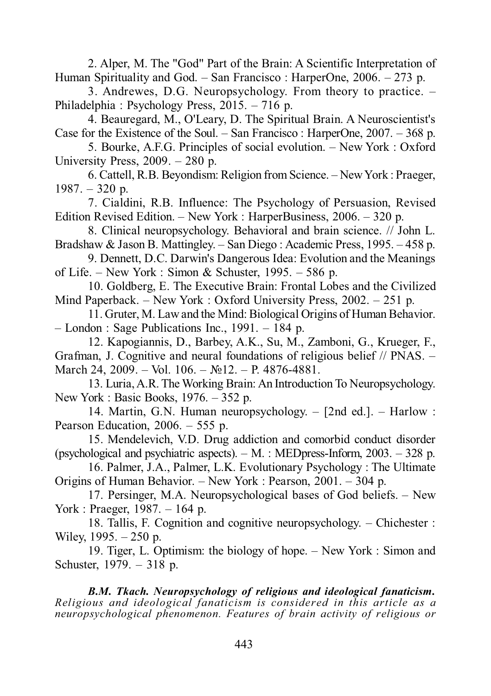2. Alper, M. The "God" Part of the Brain: A Scientific Interpretation of Human Spirituality and God. – San Francisco : HarperOne, 2006. – 273 p.

3. Andrewes, D.G. Neuropsychology. From theory to practice. – Philadelphia : Psychology Press, 2015. – 716 p.

4. Beauregard, M., O'Leary, D. The Spiritual Brain. A Neuroscientist's Case for the Existence of the Soul. – San Francisco : HarperOne, 2007. – 368 p.

5. Bourke, A.F.G. Principles of social evolution. – New York : Oxford University Press, 2009. – 280 p.

6. Cattell, R.B. Beyondism: Religion from Science. – New York : Praeger,  $1987. - 320$  p.

7. Cialdini, R.B. Influence: The Psychology of Persuasion, Revised Edition Revised Edition. – New York : HarperBusiness, 2006. – 320 p.

8. Clinical neuropsychology. Behavioral and brain science. // John L. Bradshaw & Jason B. Mattingley. – San Diego : Academic Press, 1995. – 458 p.

9. Dennett, D.C. Darwin's Dangerous Idea: Evolution and the Meanings of Life. – New York : Simon & Schuster, 1995. – 586 p.

10. Goldberg, E. The Executive Brain: Frontal Lobes and the Civilized Mind Paperback. – New York : Oxford University Press, 2002. – 251 p.

11. Gruter, M. Law and the Mind: Biological Origins of Human Behavior. – London : Sage Publications Inc., 1991. – 184 p.

12. Kapogiannis, D., Barbey, A.K., Su, M., Zamboni, G., Krueger, F., Grafman, J. Cognitive and neural foundations of religious belief // PNAS. – March 24, 2009. – Vol. 106. –  $\mathbb{N}$ 12. – P. 4876-4881.

13. Luria, A.R. The Working Brain: An Introduction To Neuropsychology. New York : Basic Books,  $1976. - 352$  p.

14. Martin, G.N. Human neuropsychology. – [2nd ed.]. – Harlow : Pearson Education, 2006. – 555 p.

15. Mendelevich, V.D. Drug addiction and comorbid conduct disorder (psychological and psychiatric aspects). – M. : MEDpress-Inform, 2003. – 328 p.

16. Palmer, J.A., Palmer, L.K. Evolutionary Psychology : The Ultimate Origins of Human Behavior. – New York : Pearson, 2001. – 304 p.

17. Persinger, M.A. Neuropsychological bases of God beliefs. – New York : Praeger, 1987. – 164 p.

18. Tallis, F. Cognition and cognitive neuropsychology. – Chichester : Wiley, 1995. – 250 p.

19. Tiger, L. Optimism: the biology of hope. – New York : Simon and Schuster, 1979. – 318 p.

*B.M. Tkach. Neuropsychology of religious and ideological fanaticism. Religious and ideological fanaticism is considered in this article as a neuropsychological phenomenon. Features of brain activity of religious or*